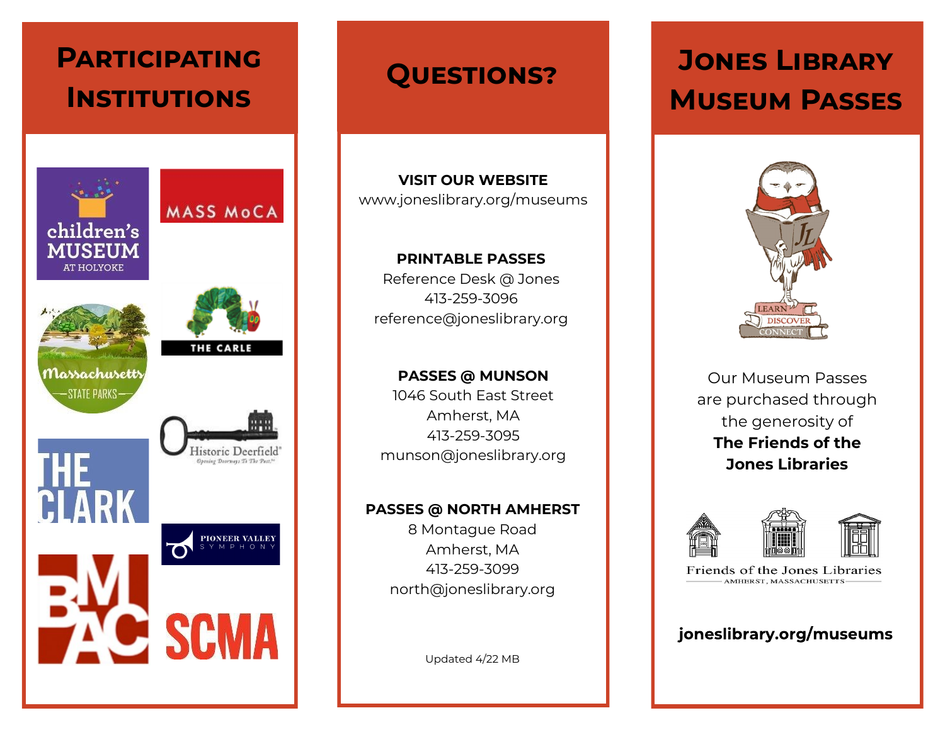

### **Questions?**

**VISIT OUR WEBSITE** www.joneslibrary.org/museums

**PRINTABLE PASSES** Reference Desk @ Jones 413-259-3096 reference@joneslibrary.org

**PASSES @ MUNSON** 1046 South East Street Amherst, MA 413-259-3095 munson@joneslibrary.org

#### **PASSES @ NORTH AMHERST**

8 Montague Road Amherst, MA 413-259-3099 north@joneslibrary.org

Updated 4/22 MB

# **Jones Library Museum Passes**



Our Museum Passes are purchased through the generosity of **The Friends of the Jones Libraries**



Friends of the Jones Libraries AMHERST, MASSACHUSETTS-

### joneslibrary.org/museums